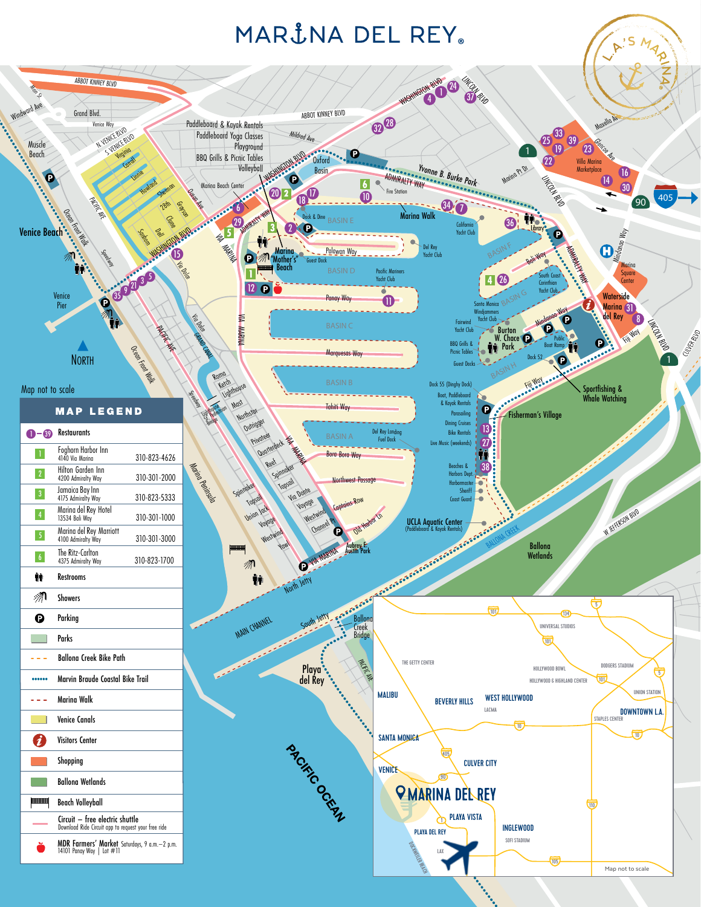